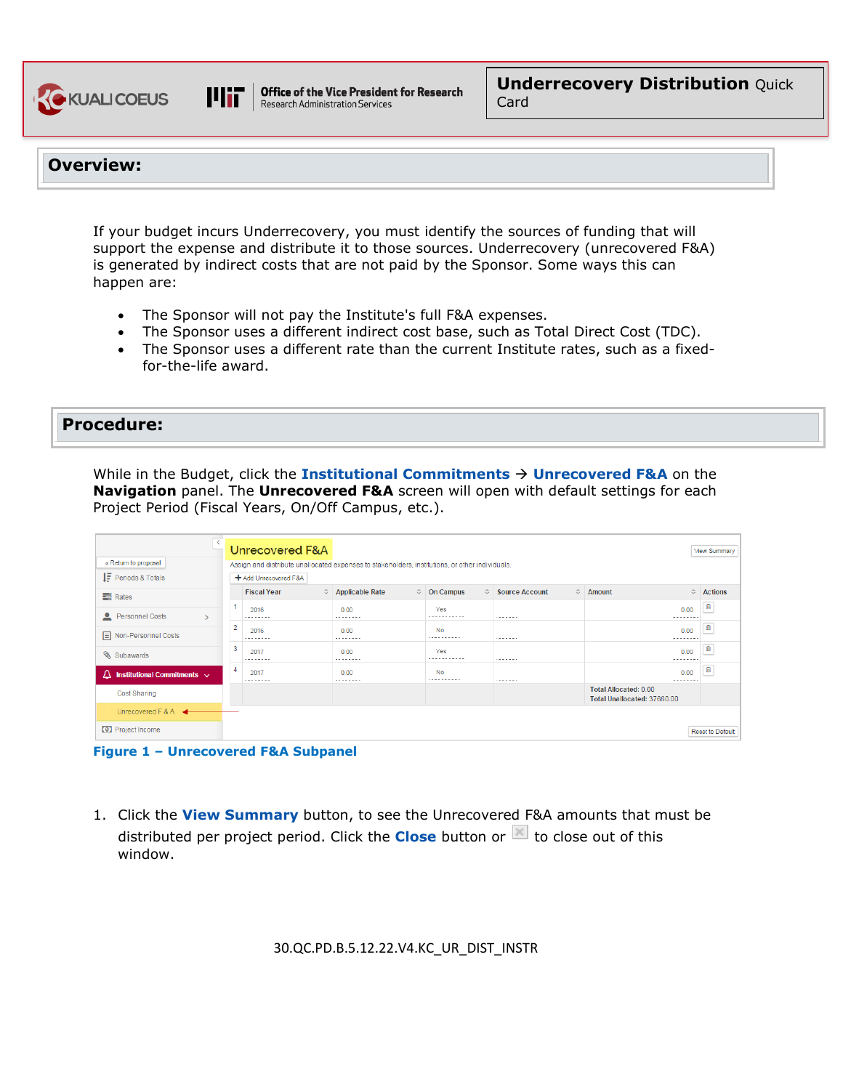



**Office of the Vice President for Research Research Administration Services** 

### **Overview:**

If your budget incurs Underrecovery, you must identify the sources of funding that will support the expense and distribute it to those sources. Underrecovery (unrecovered F&A) is generated by indirect costs that are not paid by the Sponsor. Some ways this can happen are:

- The Sponsor will not pay the Institute's full F&A expenses.
- The Sponsor uses a different indirect cost base, such as Total Direct Cost (TDC).
- The Sponsor uses a different rate than the current Institute rates, such as a fixedfor-the-life award.

### **Procedure:**

While in the Budget, click the **Institutional Commitments Unrecovered F&A** on the **Navigation** panel. The **Unrecovered F&A** screen will open with default settings for each Project Period (Fiscal Years, On/Off Campus, etc.).

|                                                                                                                         |   | Unrecovered F&A       |  |                   |  |                     |           |                       |                                                             | <b>View Summary</b>     |  |  |  |
|-------------------------------------------------------------------------------------------------------------------------|---|-----------------------|--|-------------------|--|---------------------|-----------|-----------------------|-------------------------------------------------------------|-------------------------|--|--|--|
| « Return to proposal<br>Assign and distribute unallocated expenses to stakeholders, institutions, or other individuals. |   |                       |  |                   |  |                     |           |                       |                                                             |                         |  |  |  |
| $IF$ Periods & Totals                                                                                                   |   | + Add Unrecovered F&A |  |                   |  |                     |           |                       |                                                             |                         |  |  |  |
| $\equiv$ Rates                                                                                                          |   | <b>Fiscal Year</b>    |  | ♦ Applicable Rate |  | $\hat{O}$ On Campus | $\hat{v}$ | <b>Source Account</b> | $\Leftrightarrow$ Amount<br>$\hat{C}$                       | <b>Actions</b>          |  |  |  |
| Personnel Costs                                                                                                         |   | 2016<br>.             |  | 0.00<br>          |  | Yes<br>             |           | .                     | 0.00<br>.                                                   | 自                       |  |  |  |
| Non-Personnel Costs                                                                                                     | 2 | 2016<br>.             |  | 0.00<br>.         |  | No<br>.             |           | $- - - - - - -$       | 0.00<br>--------                                            | 自                       |  |  |  |
| Subawards                                                                                                               | 3 | 2017<br>.             |  | 0.00<br>.         |  | Yes<br>-----------  |           | $- - - - - - -$       | 0.00<br>--------                                            | 自                       |  |  |  |
| Institutional Commitments v<br>Δ                                                                                        | 4 | 2017<br>.             |  | 0.00<br>          |  | No<br>              |           | .                     | 0.00<br>--------                                            | 自                       |  |  |  |
| <b>Cost Sharing</b>                                                                                                     |   |                       |  |                   |  |                     |           |                       | <b>Total Allocated: 0.00</b><br>Total Unallocated: 37660.00 |                         |  |  |  |
| Unrecovered $F$ & A $\blacktriangleleft$                                                                                |   |                       |  |                   |  |                     |           |                       |                                                             |                         |  |  |  |
| <b>O</b> Project Income                                                                                                 |   |                       |  |                   |  |                     |           |                       |                                                             | <b>Reset to Default</b> |  |  |  |



1. Click the **View Summary** button, to see the Unrecovered F&A amounts that must be distributed per project period. Click the **Close** button or  $\mathbb{E}$  to close out of this window.

30.QC.PD.B.5.12.22.V4.KC\_UR\_DIST\_INSTR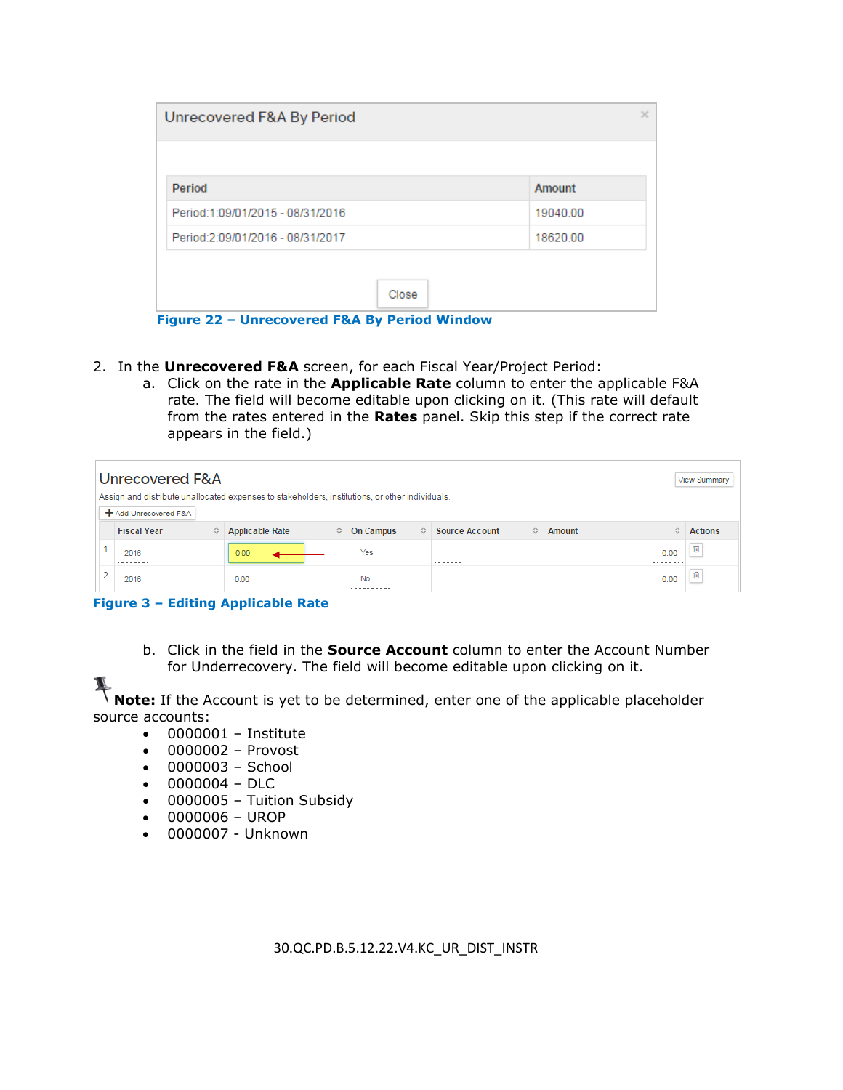| Amount   |
|----------|
| 19040.00 |
| 18620.00 |
|          |

 **Figure 22 – Unrecovered F&A By Period Window**

- 2. In the **Unrecovered F&A** screen, for each Fiscal Year/Project Period:
	- a. Click on the rate in the **Applicable Rate** column to enter the applicable F&A rate. The field will become editable upon clicking on it. (This rate will default from the rates entered in the **Rates** panel. Skip this step if the correct rate appears in the field.)

| Unrecovered F&A<br>View Summary<br>Assign and distribute unallocated expenses to stakeholders, institutions, or other individuals. |                         |                             |                       |                                    |                  |                |  |  |  |  |
|------------------------------------------------------------------------------------------------------------------------------------|-------------------------|-----------------------------|-----------------------|------------------------------------|------------------|----------------|--|--|--|--|
|                                                                                                                                    | + Add Unrecovered F&A   |                             |                       |                                    |                  |                |  |  |  |  |
|                                                                                                                                    | <b>Fiscal Year</b><br>≎ | <b>Applicable Rate</b><br>≎ | <b>On Campus</b><br>≎ | <b>Source Account</b><br>$\hat{v}$ | ≎<br>Amount      | <b>Actions</b> |  |  |  |  |
|                                                                                                                                    | 2016                    | 0.00                        | Yes                   | .                                  | 0.00<br>-------- | 宜              |  |  |  |  |
| o                                                                                                                                  | 2016<br>--------        | 0.00<br>--------            | No                    | .                                  | 0.00<br>-------- | 宜              |  |  |  |  |

**Figure 3 – Editing Applicable Rate**

b. Click in the field in the **Source Account** column to enter the Account Number for Underrecovery. The field will become editable upon clicking on it.

**Note:** If the Account is yet to be determined, enter one of the applicable placeholder source accounts:

- 0000001 Institute
- 0000002 Provost
- 0000003 School
- 0000004 DLC
- 0000005 Tuition Subsidy
- 0000006 UROP
- 0000007 Unknown

30.QC.PD.B.5.12.22.V4.KC\_UR\_DIST\_INSTR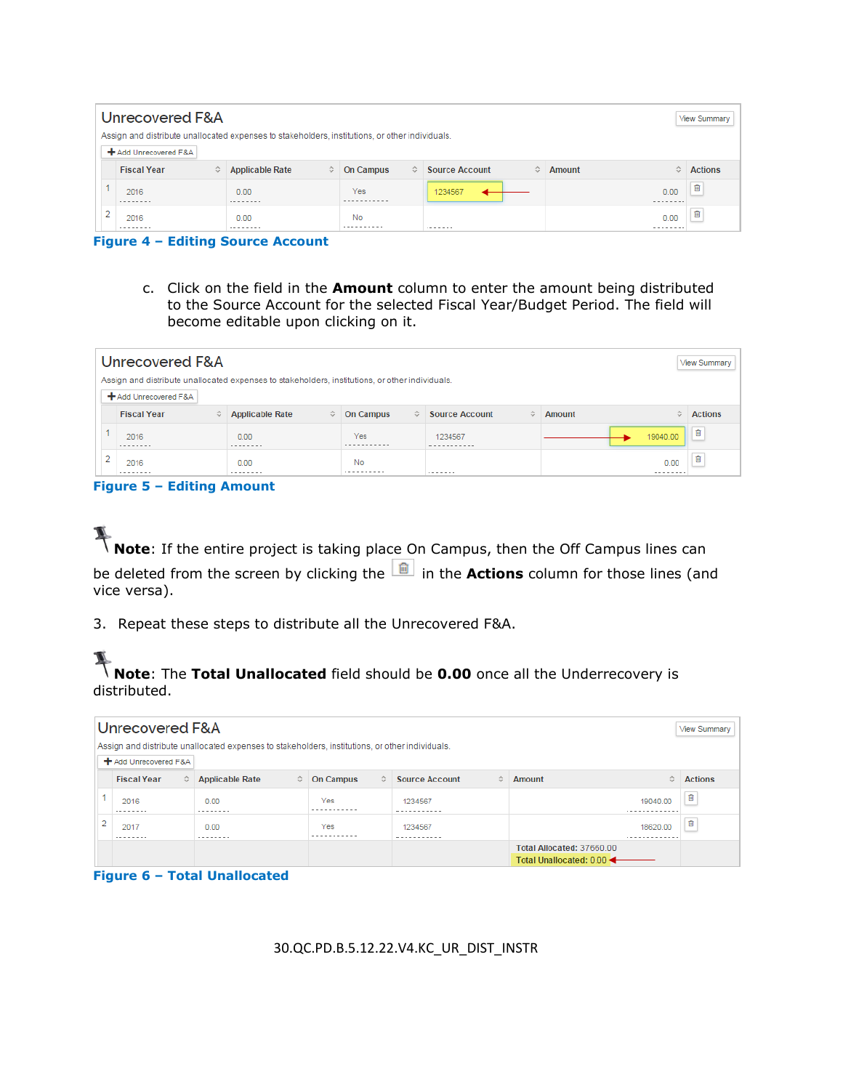| Unrecovered F&A<br>View Summary                                                                 |                         |                             |                                                 |                                    |                  |                |  |  |  |  |
|-------------------------------------------------------------------------------------------------|-------------------------|-----------------------------|-------------------------------------------------|------------------------------------|------------------|----------------|--|--|--|--|
| Assign and distribute unallocated expenses to stakeholders, institutions, or other individuals. |                         |                             |                                                 |                                    |                  |                |  |  |  |  |
|                                                                                                 | + Add Unrecovered F&A   |                             |                                                 |                                    |                  |                |  |  |  |  |
|                                                                                                 | <b>Fiscal Year</b><br>≎ | <b>Applicable Rate</b><br>≎ | <b>On Campus</b><br>$\mathcal{L}^{\mathcal{L}}$ | <b>Source Account</b><br>$\hat{v}$ | ≎<br>Amount      | <b>Actions</b> |  |  |  |  |
|                                                                                                 | 2016<br>.               | 0.00<br>.                   | Yes                                             | 1234567                            | 0.00<br>-------- | ū              |  |  |  |  |
| ∍                                                                                               | 2016<br>-------         | 0.00<br>--------            | No<br>.                                         | .                                  | 0.00             | 盲              |  |  |  |  |

**Figure 4 – Editing Source Account**

c. Click on the field in the **Amount** column to enter the amount being distributed to the Source Account for the selected Fiscal Year/Budget Period. The field will become editable upon clicking on it.

|        | Unrecovered F&A<br><b>View Summary</b>                                                          |                             |                               |                            |                 |                |  |  |  |  |  |
|--------|-------------------------------------------------------------------------------------------------|-----------------------------|-------------------------------|----------------------------|-----------------|----------------|--|--|--|--|--|
|        | Assign and distribute unallocated expenses to stakeholders, institutions, or other individuals. |                             |                               |                            |                 |                |  |  |  |  |  |
|        | + Add Unrecovered F&A                                                                           |                             |                               |                            |                 |                |  |  |  |  |  |
|        | <b>Fiscal Year</b><br>≎                                                                         | <b>Applicable Rate</b><br>≎ | <b>On Campus</b><br>$\hat{v}$ | <b>Source Account</b><br>≎ | õ<br>Amount     | <b>Actions</b> |  |  |  |  |  |
|        | 2016<br>--------                                                                                | 0.00<br>--------            | Yes                           | 1234567<br>-----------     | 19040.00        | 面              |  |  |  |  |  |
| $\sim$ | 2016<br>--------                                                                                | 0.00<br>.                   | No<br>----------              | .                          | 0.00<br>------- | û              |  |  |  |  |  |

#### **Figure 5 – Editing Amount**



**Note:** If the entire project is taking place On Campus, then the Off Campus lines can be deleted from the screen by clicking the  $\boxed{\blacksquare}$  in the **Actions** column for those lines (and vice versa).

3. Repeat these steps to distribute all the Unrecovered F&A.

### **Note**: The **Total Unallocated** field should be **0.00** once all the Underrecovery is distributed.

|   | Unrecovered F&A<br>View Summary                                                                 |           |                        |   |                  |   |                        |   |                                                      |                |
|---|-------------------------------------------------------------------------------------------------|-----------|------------------------|---|------------------|---|------------------------|---|------------------------------------------------------|----------------|
|   | Assign and distribute unallocated expenses to stakeholders, institutions, or other individuals. |           |                        |   |                  |   |                        |   |                                                      |                |
|   | + Add Unrecovered F&A                                                                           |           |                        |   |                  |   |                        |   |                                                      |                |
|   | <b>Fiscal Year</b>                                                                              | $\hat{v}$ | <b>Applicable Rate</b> | ≎ | <b>On Campus</b> | ≎ | <b>Source Account</b>  | ≎ | Amount<br>$\hat{v}$                                  | <b>Actions</b> |
|   | 2016<br>.                                                                                       |           | 0.00<br>.              |   | Yes              |   | 1234567<br>----------- |   | 19040.00                                             | 宜              |
| 2 | 2017<br>.                                                                                       |           | 0.00<br>.              |   | Yes              |   | 1234567<br>.           |   | 18620.00<br>.                                        | û              |
|   |                                                                                                 |           |                        |   |                  |   |                        |   | Total Allocated: 37660.00<br>Total Unallocated: 0.00 |                |

**Figure 6 – Total Unallocated**

30.QC.PD.B.5.12.22.V4.KC\_UR\_DIST\_INSTR